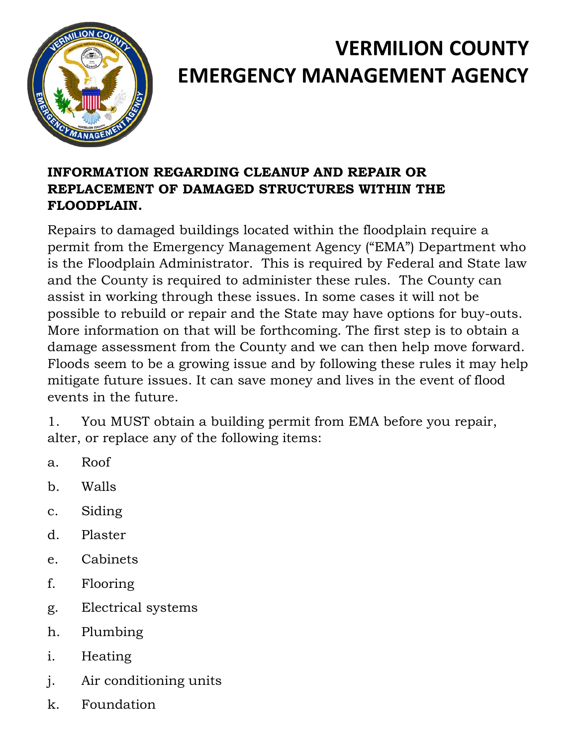

## **VERMILION COUNTY EMERGENCY MANAGEMENT AGENCY**

## **INFORMATION REGARDING CLEANUP AND REPAIR OR REPLACEMENT OF DAMAGED STRUCTURES WITHIN THE FLOODPLAIN.**

Repairs to damaged buildings located within the floodplain require a permit from the Emergency Management Agency ("EMA") Department who is the Floodplain Administrator. This is required by Federal and State law and the County is required to administer these rules. The County can assist in working through these issues. In some cases it will not be possible to rebuild or repair and the State may have options for buy-outs. More information on that will be forthcoming. The first step is to obtain a damage assessment from the County and we can then help move forward. Floods seem to be a growing issue and by following these rules it may help mitigate future issues. It can save money and lives in the event of flood events in the future.

1. You MUST obtain a building permit from EMA before you repair, alter, or replace any of the following items:

- a. Roof
- b. Walls
- c. Siding
- d. Plaster
- e. Cabinets
- f. Flooring
- g. Electrical systems
- h. Plumbing
- i. Heating
- j. Air conditioning units
- k. Foundation